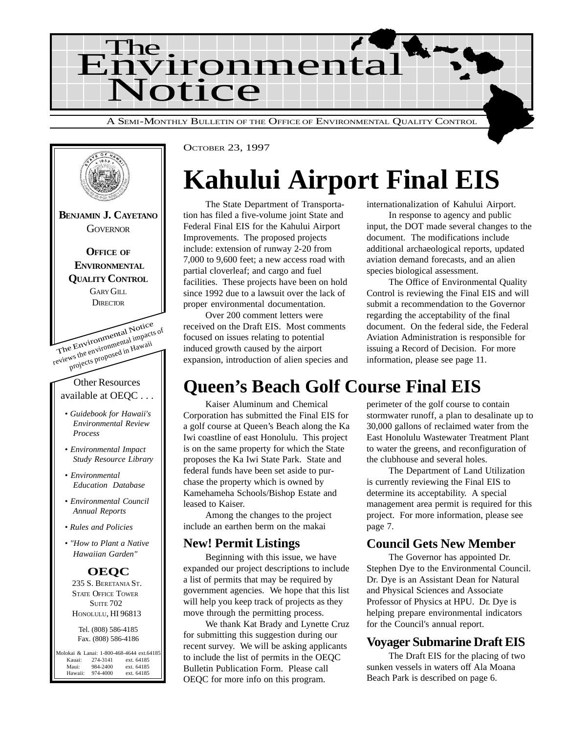



# **Kahului Airport Final EIS**

The State Department of Transportation has filed a five-volume joint State and Federal Final EIS for the Kahului Airport Improvements. The proposed projects include: extension of runway 2-20 from 7,000 to 9,600 feet; a new access road with partial cloverleaf; and cargo and fuel facilities. These projects have been on hold since 1992 due to a lawsuit over the lack of proper environmental documentation.

Over 200 comment letters were received on the Draft EIS. Most comments focused on issues relating to potential induced growth caused by the airport expansion, introduction of alien species and internationalization of Kahului Airport.

In response to agency and public input, the DOT made several changes to the document. The modifications include additional archaeological reports, updated aviation demand forecasts, and an alien species biological assessment.

The Office of Environmental Quality Control is reviewing the Final EIS and will submit a recommendation to the Governor regarding the acceptability of the final document. On the federal side, the Federal Aviation Administration is responsible for issuing a Record of Decision. For more information, please see page 11.

# **Queen's Beach Golf Course Final EIS**

Kaiser Aluminum and Chemical Corporation has submitted the Final EIS for a golf course at Queen's Beach along the Ka Iwi coastline of east Honolulu. This project is on the same property for which the State proposes the Ka Iwi State Park. State and federal funds have been set aside to purchase the property which is owned by Kamehameha Schools/Bishop Estate and leased to Kaiser.

Among the changes to the project include an earthen berm on the makai

#### **New! Permit Listings**

Beginning with this issue, we have expanded our project descriptions to include a list of permits that may be required by government agencies. We hope that this list will help you keep track of projects as they move through the permitting process.

We thank Kat Brady and Lynette Cruz for submitting this suggestion during our recent survey. We will be asking applicants to include the list of permits in the OEQC Bulletin Publication Form. Please call OEQC for more info on this program.

perimeter of the golf course to contain stormwater runoff, a plan to desalinate up to 30,000 gallons of reclaimed water from the East Honolulu Wastewater Treatment Plant to water the greens, and reconfiguration of the clubhouse and several holes.

The Department of Land Utilization is currently reviewing the Final EIS to determine its acceptability. A special management area permit is required for this project. For more information, please see page 7.

### **Council Gets New Member**

The Governor has appointed Dr. Stephen Dye to the Environmental Council. Dr. Dye is an Assistant Dean for Natural and Physical Sciences and Associate Professor of Physics at HPU. Dr. Dye is helping prepare environmental indicators for the Council's annual report.

#### **Voyager Submarine Draft EIS**

The Draft EIS for the placing of two sunken vessels in waters off Ala Moana Beach Park is described on page 6.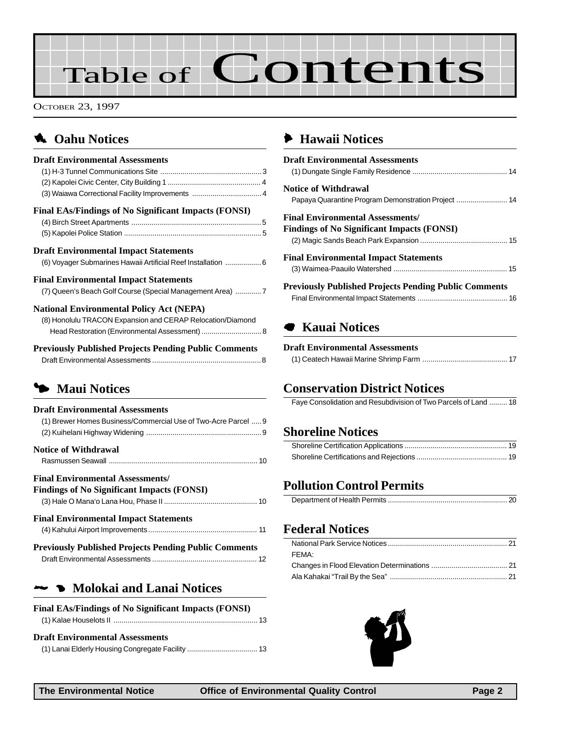# Table of Contents

OCTOBER 23, 1997

# **4. Oahu Notices**

| <b>Draft Environmental Assessments</b><br>(3) Waiawa Correctional Facility Improvements  4                                                                      |
|-----------------------------------------------------------------------------------------------------------------------------------------------------------------|
| <b>Final EAs/Findings of No Significant Impacts (FONSI)</b>                                                                                                     |
| <b>Draft Environmental Impact Statements</b><br>(6) Voyager Submarines Hawaii Artificial Reef Installation  6                                                   |
| <b>Final Environmental Impact Statements</b><br>(7) Queen's Beach Golf Course (Special Management Area) 7                                                       |
| <b>National Environmental Policy Act (NEPA)</b><br>(8) Honolulu TRACON Expansion and CERAP Relocation/Diamond<br>Head Restoration (Environmental Assessment)  8 |
| <b>Previously Published Projects Pending Public Comments</b>                                                                                                    |
| • Maui Notices                                                                                                                                                  |
| <b>Draft Environmental Assessments</b><br>(1) Brewer Homes Business/Commercial Use of Two-Acre Parcel  9                                                        |
| <b>Notice of Withdrawal</b>                                                                                                                                     |

# Rasmussen Seawall [......................................................................... 10](#page-9-0)

| <b>Final Environmental Assessments/</b>                      |  |
|--------------------------------------------------------------|--|
| <b>Findings of No Significant Impacts (FONSI)</b>            |  |
|                                                              |  |
| <b>Final Environmental Impact Statements</b>                 |  |
|                                                              |  |
| <b>Previously Published Projects Pending Public Comments</b> |  |
|                                                              |  |

### **2 Molokai and Lanai Notices**

| <b>Final EAs/Findings of No Significant Impacts (FONSI)</b> |  |
|-------------------------------------------------------------|--|
|                                                             |  |

#### **Draft Environmental Assessments**

[\(1\) Lanai Elderly Housing Congregate Facility ................................... 13](#page-12-0)

## 6 **[Hawaii Notices](#page-13-0)**

| <b>Draft Environmental Assessments</b>                                                       |
|----------------------------------------------------------------------------------------------|
| <b>Notice of Withdrawal</b>                                                                  |
| <b>Final Environmental Assessments/</b><br><b>Findings of No Significant Impacts (FONSI)</b> |
| <b>Final Environmental Impact Statements</b>                                                 |
| <b>Previously Published Projects Pending Public Comments</b>                                 |

## 7 **Kauai Notices**

#### **Draft Environmental Assessments**

## **[Conservation District Notices](#page-17-0)**

[Faye Consolidation and Resubdivision of Two Parcels of Land ......... 18](#page-17-0)

## **[Shoreline Notices](#page-18-0)**

## **[Pollution Control Permits](#page-19-0)**

|--|

### **Federal Notices**

| FFMA: |  |
|-------|--|
|       |  |
|       |  |

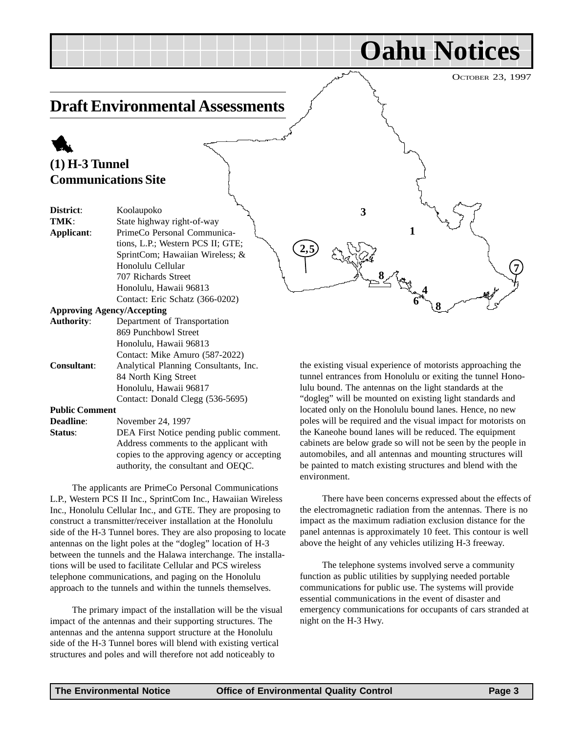**Oahu Notices**

# <span id="page-2-0"></span>**Draft Environmental Assessments**

# 1 **(1) H-3 Tunnel Communications Site**

| District:         | Koolaupoko                        |
|-------------------|-----------------------------------|
| TMK:              | State highway right-of-way        |
| Applicant:        | PrimeCo Personal Communica-       |
|                   | tions, L.P.; Western PCS II; GTE; |
|                   | SprintCom; Hawaiian Wireless; &   |
|                   | Honolulu Cellular                 |
|                   | 707 Richards Street               |
|                   | Honolulu, Hawaii 96813            |
|                   | Contact: Eric Schatz (366-0202)   |
|                   | <b>Approving Agency/Accepting</b> |
| <b>Authority:</b> | Department of Transportation      |
|                   | 869 Punchbowl Street              |
|                   | Honolulu, Hawaii 96813            |

Honolulu, Hawaii 96813 Contact: Mike Amuro (587-2022) **Consultant**: Analytical Planning Consultants, Inc. 84 North King Street Honolulu, Hawaii 96817 Contact: Donald Clegg (536-5695)

#### **Public Comment**

- **Deadline**: November 24, 1997
- **Status:** DEA First Notice pending public comment. Address comments to the applicant with copies to the approving agency or accepting authority, the consultant and OEQC.

The applicants are PrimeCo Personal Communications L.P., Western PCS II Inc., SprintCom Inc., Hawaiian Wireless Inc., Honolulu Cellular Inc., and GTE. They are proposing to construct a transmitter/receiver installation at the Honolulu side of the H-3 Tunnel bores. They are also proposing to locate antennas on the light poles at the "dogleg" location of H-3 between the tunnels and the Halawa interchange. The installations will be used to facilitate Cellular and PCS wireless telephone communications, and paging on the Honolulu approach to the tunnels and within the tunnels themselves.

The primary impact of the installation will be the visual impact of the antennas and their supporting structures. The antennas and the antenna support structure at the Honolulu side of the H-3 Tunnel bores will blend with existing vertical structures and poles and will therefore not add noticeably to

the existing visual experience of motorists approaching the tunnel entrances from Honolulu or exiting the tunnel Honolulu bound. The antennas on the light standards at the "dogleg" will be mounted on existing light standards and located only on the Honolulu bound lanes. Hence, no new poles will be required and the visual impact for motorists on the Kaneohe bound lanes will be reduced. The equipment cabinets are below grade so will not be seen by the people in automobiles, and all antennas and mounting structures will be painted to match existing structures and blend with the environment.

**1**

**4**

 $\sim$  **8**  $\sim$  **7**  $\sim$  **7**  $\sim$  **7** 

**<sup>6</sup> <sup>8</sup>**

**3**

There have been concerns expressed about the effects of the electromagnetic radiation from the antennas. There is no impact as the maximum radiation exclusion distance for the panel antennas is approximately 10 feet. This contour is well above the height of any vehicles utilizing H-3 freeway.

The telephone systems involved serve a community function as public utilities by supplying needed portable communications for public use. The systems will provide essential communications in the event of disaster and emergency communications for occupants of cars stranded at night on the H-3 Hwy.

**2,**

**5**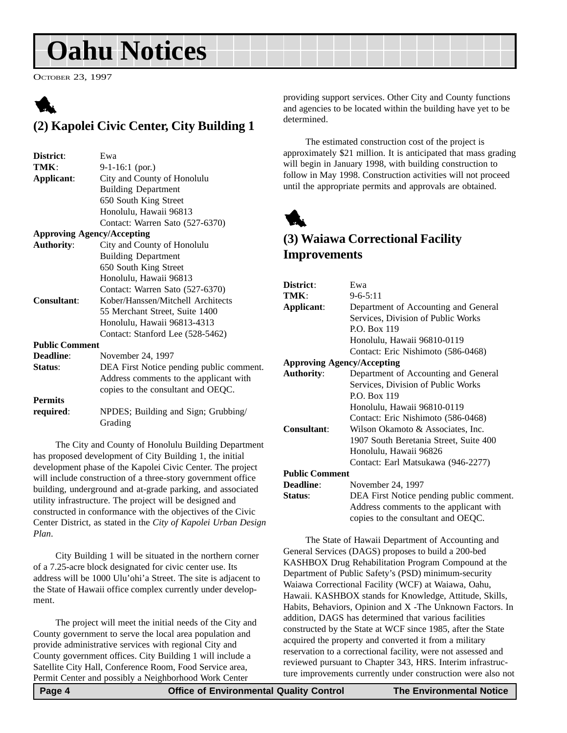# <span id="page-3-0"></span>**Oahu Notices**

OCTOBER 23, 1997

# 1 **(2) Kapolei Civic Center, City Building 1**

| District:                         | Ewa                                      |
|-----------------------------------|------------------------------------------|
| TMK:                              | $9-1-16:1$ (por.)                        |
| Applicant:                        | City and County of Honolulu              |
|                                   | <b>Building Department</b>               |
|                                   | 650 South King Street                    |
|                                   | Honolulu, Hawaii 96813                   |
|                                   | Contact: Warren Sato (527-6370)          |
| <b>Approving Agency/Accepting</b> |                                          |
| <b>Authority:</b>                 | City and County of Honolulu              |
|                                   | <b>Building Department</b>               |
|                                   | 650 South King Street                    |
|                                   | Honolulu, Hawaii 96813                   |
|                                   | Contact: Warren Sato (527-6370)          |
| Consultant:                       | Kober/Hanssen/Mitchell Architects        |
|                                   | 55 Merchant Street, Suite 1400           |
|                                   | Honolulu, Hawaii 96813-4313              |
|                                   | Contact: Stanford Lee (528-5462)         |
| <b>Public Comment</b>             |                                          |
| Deadline:                         | November 24, 1997                        |
| Status:                           | DEA First Notice pending public comment. |
|                                   | Address comments to the applicant with   |
|                                   | copies to the consultant and OEQC.       |
| <b>Permits</b>                    |                                          |
| required:                         | NPDES; Building and Sign; Grubbing/      |
|                                   | Grading                                  |

The City and County of Honolulu Building Department has proposed development of City Building 1, the initial development phase of the Kapolei Civic Center. The project will include construction of a three-story government office building, underground and at-grade parking, and associated utility infrastructure. The project will be designed and constructed in conformance with the objectives of the Civic Center District, as stated in the *City of Kapolei Urban Design Plan*.

City Building 1 will be situated in the northern corner of a 7.25-acre block designated for civic center use. Its address will be 1000 Ulu'ohi'a Street. The site is adjacent to the State of Hawaii office complex currently under development.

The project will meet the initial needs of the City and County government to serve the local area population and provide administrative services with regional City and County government offices. City Building 1 will include a Satellite City Hall, Conference Room, Food Service area, Permit Center and possibly a Neighborhood Work Center

providing support services. Other City and County functions and agencies to be located within the building have yet to be determined.

The estimated construction cost of the project is approximately \$21 million. It is anticipated that mass grading will begin in January 1998, with building construction to follow in May 1998. Construction activities will not proceed until the appropriate permits and approvals are obtained.



### **(3) Waiawa Correctional Facility Improvements**

| District:                         | Ewa                                      |
|-----------------------------------|------------------------------------------|
| TMK:                              | $9 - 6 - 5:11$                           |
| Applicant:                        | Department of Accounting and General     |
|                                   | Services, Division of Public Works       |
|                                   | P.O. Box 119                             |
|                                   | Honolulu, Hawaii 96810-0119              |
|                                   | Contact: Eric Nishimoto (586-0468)       |
| <b>Approving Agency/Accepting</b> |                                          |
| <b>Authority:</b>                 | Department of Accounting and General     |
|                                   | Services, Division of Public Works       |
|                                   | P.O. Box 119                             |
|                                   | Honolulu, Hawaii 96810-0119              |
|                                   | Contact: Eric Nishimoto (586-0468)       |
| Consultant:                       | Wilson Okamoto & Associates, Inc.        |
|                                   | 1907 South Beretania Street, Suite 400   |
|                                   | Honolulu, Hawaii 96826                   |
|                                   | Contact: Earl Matsukawa (946-2277)       |
| <b>Public Comment</b>             |                                          |
| <b>Deadline:</b>                  | November 24, 1997                        |
| Status:                           | DEA First Notice pending public comment. |
|                                   | Address comments to the applicant with   |
|                                   | copies to the consultant and OEQC.       |
|                                   |                                          |

The State of Hawaii Department of Accounting and General Services (DAGS) proposes to build a 200-bed KASHBOX Drug Rehabilitation Program Compound at the Department of Public Safety's (PSD) minimum-security Waiawa Correctional Facility (WCF) at Waiawa, Oahu, Hawaii. KASHBOX stands for Knowledge, Attitude, Skills, Habits, Behaviors, Opinion and X -The Unknown Factors. In addition, DAGS has determined that various facilities constructed by the State at WCF since 1985, after the State acquired the property and converted it from a military reservation to a correctional facility, were not assessed and reviewed pursuant to Chapter 343, HRS. Interim infrastructure improvements currently under construction were also not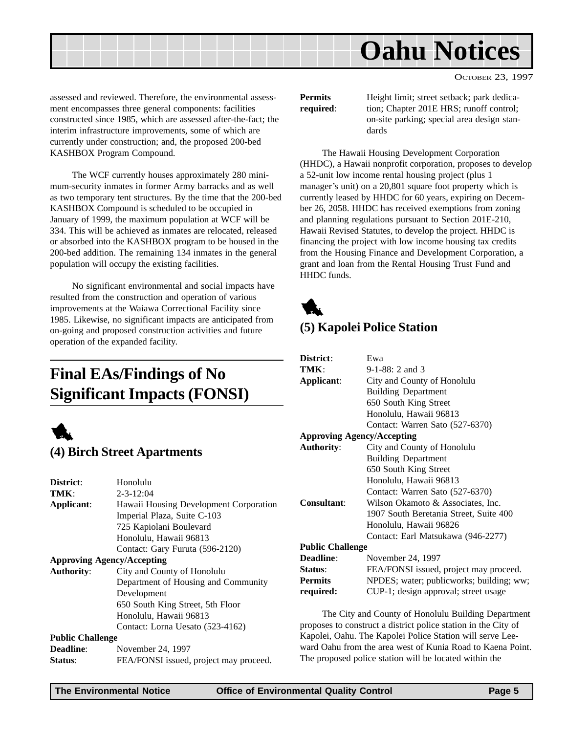<span id="page-4-0"></span>

assessed and reviewed. Therefore, the environmental assessment encompasses three general components: facilities constructed since 1985, which are assessed after-the-fact; the interim infrastructure improvements, some of which are currently under construction; and, the proposed 200-bed KASHBOX Program Compound.

The WCF currently houses approximately 280 minimum-security inmates in former Army barracks and as well as two temporary tent structures. By the time that the 200-bed KASHBOX Compound is scheduled to be occupied in January of 1999, the maximum population at WCF will be 334. This will be achieved as inmates are relocated, released or absorbed into the KASHBOX program to be housed in the 200-bed addition. The remaining 134 inmates in the general population will occupy the existing facilities.

No significant environmental and social impacts have resulted from the construction and operation of various improvements at the Waiawa Correctional Facility since 1985. Likewise, no significant impacts are anticipated from on-going and proposed construction activities and future operation of the expanded facility.

# **Final EAs/Findings of No Significant Impacts (FONSI)**



### **(4) Birch Street Apartments**

| District:                         | Honolulu                               |
|-----------------------------------|----------------------------------------|
| TMK:                              | $2 - 3 - 12:04$                        |
| Applicant:                        | Hawaii Housing Development Corporation |
|                                   | Imperial Plaza, Suite C-103            |
|                                   | 725 Kapiolani Boulevard                |
|                                   | Honolulu, Hawaii 96813                 |
|                                   | Contact: Gary Furuta (596-2120)        |
| <b>Approving Agency/Accepting</b> |                                        |
| <b>Authority:</b>                 | City and County of Honolulu            |
|                                   | Department of Housing and Community    |
|                                   | Development                            |
|                                   | 650 South King Street, 5th Floor       |
|                                   | Honolulu, Hawaii 96813                 |
|                                   | Contact: Lorna Uesato (523-4162)       |
| <b>Public Challenge</b>           |                                        |
| <b>Deadline:</b>                  | November 24, 1997                      |
| <b>Status:</b>                    | FEA/FONSI issued, project may proceed. |

**Permits** Height limit; street setback; park dedica**required:** tion; Chapter 201E HRS; runoff control; on-site parking; special area design standards

The Hawaii Housing Development Corporation (HHDC), a Hawaii nonprofit corporation, proposes to develop a 52-unit low income rental housing project (plus 1 manager's unit) on a 20,801 square foot property which is currently leased by HHDC for 60 years, expiring on December 26, 2058. HHDC has received exemptions from zoning and planning regulations pursuant to Section 201E-210, Hawaii Revised Statutes, to develop the project. HHDC is financing the project with low income housing tax credits from the Housing Finance and Development Corporation, a grant and loan from the Rental Housing Trust Fund and HHDC funds.



# **(5) Kapolei Police Station**

| District:                         | Ewa                                      |  |
|-----------------------------------|------------------------------------------|--|
| TMK:                              | $9-1-88: 2$ and 3                        |  |
| Applicant:                        | City and County of Honolulu              |  |
|                                   | <b>Building Department</b>               |  |
|                                   | 650 South King Street                    |  |
|                                   | Honolulu, Hawaii 96813                   |  |
|                                   | Contact: Warren Sato (527-6370)          |  |
| <b>Approving Agency/Accepting</b> |                                          |  |
| <b>Authority:</b>                 | City and County of Honolulu              |  |
|                                   | <b>Building Department</b>               |  |
|                                   | 650 South King Street                    |  |
|                                   | Honolulu, Hawaii 96813                   |  |
|                                   | Contact: Warren Sato (527-6370)          |  |
| Consultant:                       | Wilson Okamoto & Associates, Inc.        |  |
|                                   | 1907 South Beretania Street, Suite 400   |  |
|                                   | Honolulu, Hawaii 96826                   |  |
|                                   | Contact: Earl Matsukawa (946-2277)       |  |
|                                   | <b>Public Challenge</b>                  |  |
| Deadline:                         | November 24, 1997                        |  |
| Status:                           | FEA/FONSI issued, project may proceed.   |  |
| <b>Permits</b>                    | NPDES; water; publicworks; building; ww; |  |
| required:                         | CUP-1; design approval; street usage     |  |
|                                   |                                          |  |

The City and County of Honolulu Building Department proposes to construct a district police station in the City of Kapolei, Oahu. The Kapolei Police Station will serve Leeward Oahu from the area west of Kunia Road to Kaena Point. The proposed police station will be located within the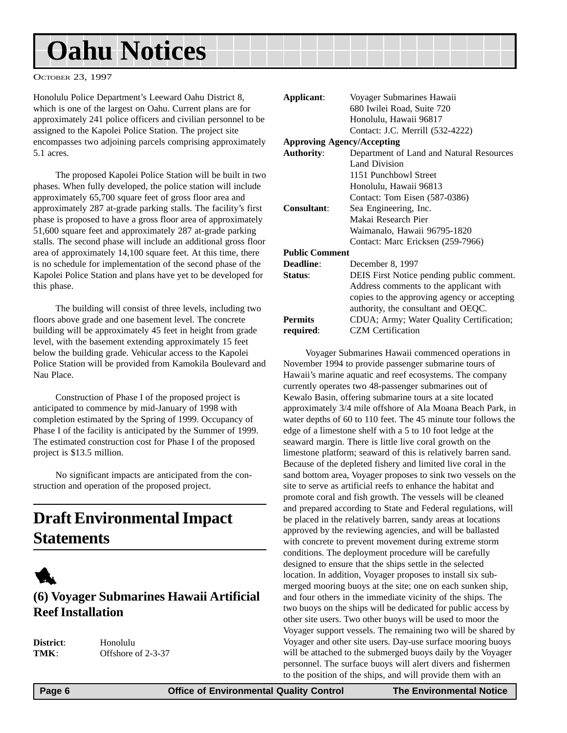# <span id="page-5-0"></span>**Oahu Notices**

OCTOBER 23, 1997

Honolulu Police Department's Leeward Oahu District 8, which is one of the largest on Oahu. Current plans are for approximately 241 police officers and civilian personnel to be assigned to the Kapolei Police Station. The project site encompasses two adjoining parcels comprising approximately 5.1 acres.

The proposed Kapolei Police Station will be built in two phases. When fully developed, the police station will include approximately 65,700 square feet of gross floor area and approximately 287 at-grade parking stalls. The facility's first phase is proposed to have a gross floor area of approximately 51,600 square feet and approximately 287 at-grade parking stalls. The second phase will include an additional gross floor area of approximately 14,100 square feet. At this time, there is no schedule for implementation of the second phase of the Kapolei Police Station and plans have yet to be developed for this phase.

The building will consist of three levels, including two floors above grade and one basement level. The concrete building will be approximately 45 feet in height from grade level, with the basement extending approximately 15 feet below the building grade. Vehicular access to the Kapolei Police Station will be provided from Kamokila Boulevard and Nau Place.

Construction of Phase I of the proposed project is anticipated to commence by mid-January of 1998 with completion estimated by the Spring of 1999. Occupancy of Phase I of the facility is anticipated by the Summer of 1999. The estimated construction cost for Phase I of the proposed project is \$13.5 million.

No significant impacts are anticipated from the construction and operation of the proposed project.

# **Draft Environmental Impact Statements**



### **(6) Voyager Submarines Hawaii Artificial Reef Installation**

| <b>District:</b> |  |
|------------------|--|
| TMK:             |  |

**District**: Honolulu **Offshore of 2-3-37** 

| Applicant:            | Voyager Submarines Hawaii                   |
|-----------------------|---------------------------------------------|
|                       | 680 Iwilei Road, Suite 720                  |
|                       | Honolulu, Hawaii 96817                      |
|                       | Contact: J.C. Merrill (532-4222)            |
|                       | <b>Approving Agency/Accepting</b>           |
| <b>Authority:</b>     | Department of Land and Natural Resources    |
|                       | Land Division                               |
|                       | 1151 Punchbowl Street                       |
|                       | Honolulu, Hawaii 96813                      |
|                       | Contact: Tom Eisen (587-0386)               |
| Consultant:           | Sea Engineering, Inc.                       |
|                       | Makai Research Pier                         |
|                       | Waimanalo, Hawaii 96795-1820                |
|                       | Contact: Marc Ericksen (259-7966)           |
| <b>Public Comment</b> |                                             |
| Deadline:             | December 8, 1997                            |
| Status:               | DEIS First Notice pending public comment.   |
|                       | Address comments to the applicant with      |
|                       | copies to the approving agency or accepting |
|                       | authority, the consultant and OEQC.         |
| <b>Permits</b>        | CDUA; Army; Water Quality Certification;    |
| required:             | <b>CZM</b> Certification                    |

Voyager Submarines Hawaii commenced operations in November 1994 to provide passenger submarine tours of Hawaii's marine aquatic and reef ecosystems. The company currently operates two 48-passenger submarines out of Kewalo Basin, offering submarine tours at a site located approximately 3/4 mile offshore of Ala Moana Beach Park, in water depths of 60 to 110 feet. The 45 minute tour follows the edge of a limestone shelf with a 5 to 10 foot ledge at the seaward margin. There is little live coral growth on the limestone platform; seaward of this is relatively barren sand. Because of the depleted fishery and limited live coral in the sand bottom area, Voyager proposes to sink two vessels on the site to serve as artificial reefs to enhance the habitat and promote coral and fish growth. The vessels will be cleaned and prepared according to State and Federal regulations, will be placed in the relatively barren, sandy areas at locations approved by the reviewing agencies, and will be ballasted with concrete to prevent movement during extreme storm conditions. The deployment procedure will be carefully designed to ensure that the ships settle in the selected location. In addition, Voyager proposes to install six submerged mooring buoys at the site; one on each sunken ship, and four others in the immediate vicinity of the ships. The two buoys on the ships will be dedicated for public access by other site users. Two other buoys will be used to moor the Voyager support vessels. The remaining two will be shared by Voyager and other site users. Day-use surface mooring buoys will be attached to the submerged buoys daily by the Voyager personnel. The surface buoys will alert divers and fishermen to the position of the ships, and will provide them with an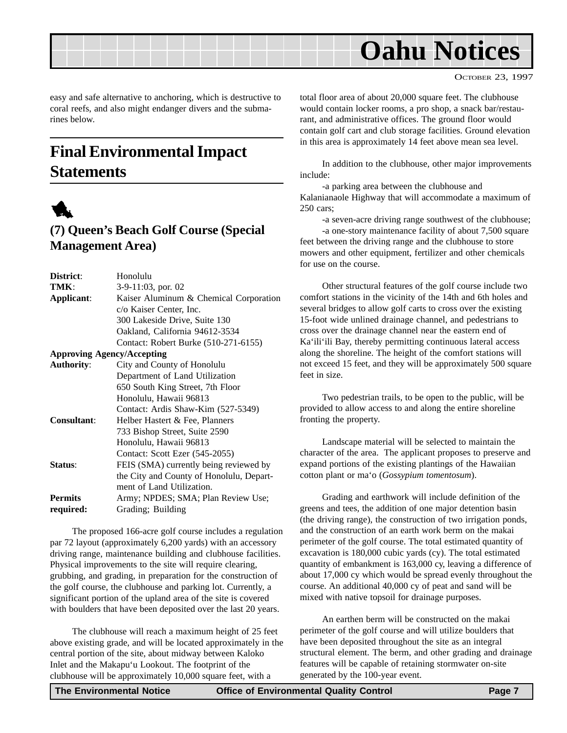<span id="page-6-0"></span>

easy and safe alternative to anchoring, which is destructive to coral reefs, and also might endanger divers and the submarines below.

# **Final Environmental Impact Statements**



## **(7) Queen's Beach Golf Course (Special Management Area)**

| District:          | Honolulu                                 |
|--------------------|------------------------------------------|
| TMK:               | 3-9-11:03, por. 02                       |
| Applicant:         | Kaiser Aluminum & Chemical Corporation   |
|                    | c/o Kaiser Center, Inc.                  |
|                    | 300 Lakeside Drive, Suite 130            |
|                    | Oakland, California 94612-3534           |
|                    | Contact: Robert Burke (510-271-6155)     |
|                    | <b>Approving Agency/Accepting</b>        |
| <b>Authority:</b>  | City and County of Honolulu              |
|                    | Department of Land Utilization           |
|                    | 650 South King Street, 7th Floor         |
|                    | Honolulu, Hawaii 96813                   |
|                    | Contact: Ardis Shaw-Kim (527-5349)       |
| <b>Consultant:</b> | Helber Hastert & Fee, Planners           |
|                    | 733 Bishop Street, Suite 2590            |
|                    | Honolulu, Hawaii 96813                   |
|                    | Contact: Scott Ezer (545-2055)           |
| Status:            | FEIS (SMA) currently being reviewed by   |
|                    | the City and County of Honolulu, Depart- |
|                    | ment of Land Utilization.                |
| <b>Permits</b>     | Army; NPDES; SMA; Plan Review Use;       |
| required:          | Grading; Building                        |

The proposed 166-acre golf course includes a regulation par 72 layout (approximately 6,200 yards) with an accessory driving range, maintenance building and clubhouse facilities. Physical improvements to the site will require clearing, grubbing, and grading, in preparation for the construction of the golf course, the clubhouse and parking lot. Currently, a significant portion of the upland area of the site is covered with boulders that have been deposited over the last 20 years.

The clubhouse will reach a maximum height of 25 feet above existing grade, and will be located approximately in the central portion of the site, about midway between Kaloko Inlet and the Makapu'u Lookout. The footprint of the clubhouse will be approximately 10,000 square feet, with a

total floor area of about 20,000 square feet. The clubhouse would contain locker rooms, a pro shop, a snack bar/restaurant, and administrative offices. The ground floor would contain golf cart and club storage facilities. Ground elevation in this area is approximately 14 feet above mean sea level.

In addition to the clubhouse, other major improvements include:

-a parking area between the clubhouse and Kalanianaole Highway that will accommodate a maximum of 250 cars;

-a seven-acre driving range southwest of the clubhouse; -a one-story maintenance facility of about 7,500 square feet between the driving range and the clubhouse to store mowers and other equipment, fertilizer and other chemicals for use on the course.

Other structural features of the golf course include two comfort stations in the vicinity of the 14th and 6th holes and several bridges to allow golf carts to cross over the existing 15-foot wide unlined drainage channel, and pedestrians to cross over the drainage channel near the eastern end of Ka'ili'ili Bay, thereby permitting continuous lateral access along the shoreline. The height of the comfort stations will not exceed 15 feet, and they will be approximately 500 square feet in size.

Two pedestrian trails, to be open to the public, will be provided to allow access to and along the entire shoreline fronting the property.

Landscape material will be selected to maintain the character of the area. The applicant proposes to preserve and expand portions of the existing plantings of the Hawaiian cotton plant or ma'o (*Gossypium tomentosum*).

Grading and earthwork will include definition of the greens and tees, the addition of one major detention basin (the driving range), the construction of two irrigation ponds, and the construction of an earth work berm on the makai perimeter of the golf course. The total estimated quantity of excavation is 180,000 cubic yards (cy). The total estimated quantity of embankment is 163,000 cy, leaving a difference of about 17,000 cy which would be spread evenly throughout the course. An additional 40,000 cy of peat and sand will be mixed with native topsoil for drainage purposes.

An earthen berm will be constructed on the makai perimeter of the golf course and will utilize boulders that have been deposited throughout the site as an integral structural element. The berm, and other grading and drainage features will be capable of retaining stormwater on-site generated by the 100-year event.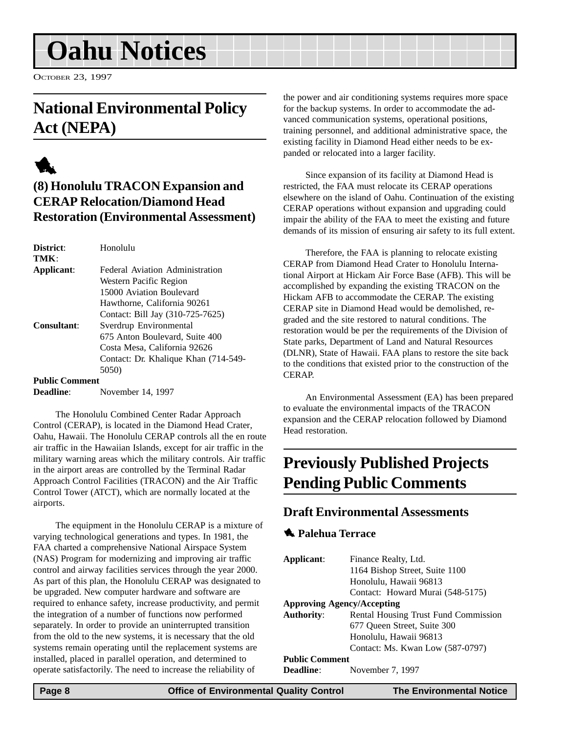# <span id="page-7-0"></span>**Oahu Notices**

OCTOBER 23, 1997

# **National Environmental Policy Act (NEPA)**



## **(8) Honolulu TRACON Expansion and CERAP Relocation/Diamond Head Restoration (Environmental Assessment)**

| District:   | Honolulu                             |
|-------------|--------------------------------------|
| TMK:        |                                      |
| Applicant:  | Federal Aviation Administration      |
|             | Western Pacific Region               |
|             | 15000 Aviation Boulevard             |
|             | Hawthorne, California 90261          |
|             | Contact: Bill Jay (310-725-7625)     |
| Consultant: | Sverdrup Environmental               |
|             | 675 Anton Boulevard, Suite 400       |
|             | Costa Mesa, California 92626         |
|             | Contact: Dr. Khalique Khan (714-549- |
|             | 5(150)                               |
|             |                                      |

#### **Public Comment**

**Deadline**: November 14, 1997

The Honolulu Combined Center Radar Approach Control (CERAP), is located in the Diamond Head Crater, Oahu, Hawaii. The Honolulu CERAP controls all the en route air traffic in the Hawaiian Islands, except for air traffic in the military warning areas which the military controls. Air traffic in the airport areas are controlled by the Terminal Radar Approach Control Facilities (TRACON) and the Air Traffic Control Tower (ATCT), which are normally located at the airports.

The equipment in the Honolulu CERAP is a mixture of varying technological generations and types. In 1981, the FAA charted a comprehensive National Airspace System (NAS) Program for modernizing and improving air traffic control and airway facilities services through the year 2000. As part of this plan, the Honolulu CERAP was designated to be upgraded. New computer hardware and software are required to enhance safety, increase productivity, and permit the integration of a number of functions now performed separately. In order to provide an uninterrupted transition from the old to the new systems, it is necessary that the old systems remain operating until the replacement systems are installed, placed in parallel operation, and determined to operate satisfactorily. The need to increase the reliability of

the power and air conditioning systems requires more space for the backup systems. In order to accommodate the advanced communication systems, operational positions, training personnel, and additional administrative space, the existing facility in Diamond Head either needs to be expanded or relocated into a larger facility.

Since expansion of its facility at Diamond Head is restricted, the FAA must relocate its CERAP operations elsewhere on the island of Oahu. Continuation of the existing CERAP operations without expansion and upgrading could impair the ability of the FAA to meet the existing and future demands of its mission of ensuring air safety to its full extent.

Therefore, the FAA is planning to relocate existing CERAP from Diamond Head Crater to Honolulu International Airport at Hickam Air Force Base (AFB). This will be accomplished by expanding the existing TRACON on the Hickam AFB to accommodate the CERAP. The existing CERAP site in Diamond Head would be demolished, regraded and the site restored to natural conditions. The restoration would be per the requirements of the Division of State parks, Department of Land and Natural Resources (DLNR), State of Hawaii. FAA plans to restore the site back to the conditions that existed prior to the construction of the CERAP.

An Environmental Assessment (EA) has been prepared to evaluate the environmental impacts of the TRACON expansion and the CERAP relocation followed by Diamond Head restoration.

# **Previously Published Projects Pending Public Comments**

#### **Draft Environmental Assessments**

#### 1 **Palehua Terrace**

| Applicant:                        | Finance Realty, Ltd.                 |  |
|-----------------------------------|--------------------------------------|--|
|                                   | 1164 Bishop Street, Suite 1100       |  |
|                                   | Honolulu, Hawaii 96813               |  |
|                                   | Contact: Howard Murai (548-5175)     |  |
| <b>Approving Agency/Accepting</b> |                                      |  |
| <b>Authority:</b>                 | Rental Housing Trust Fund Commission |  |
|                                   | 677 Oueen Street, Suite 300          |  |
|                                   | Honolulu, Hawaii 96813               |  |
|                                   | Contact: Ms. Kwan Low (587-0797)     |  |
| <b>Public Comment</b>             |                                      |  |
| <b>Deadline:</b>                  | November 7, 1997                     |  |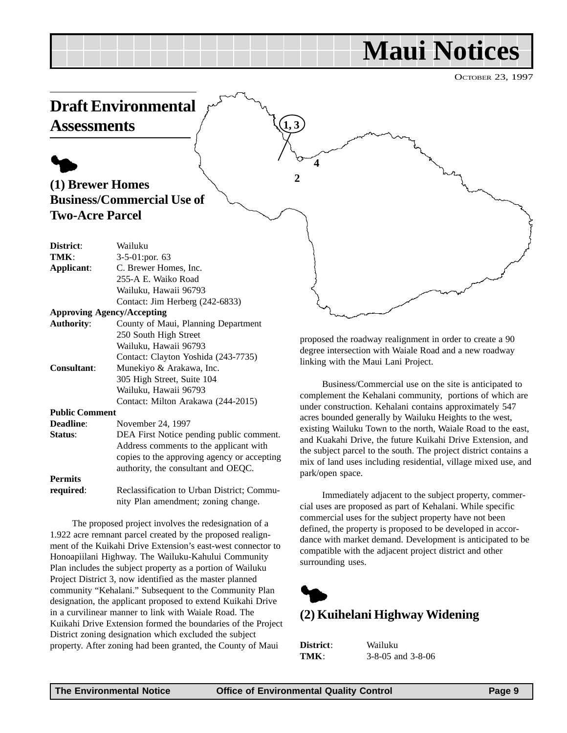# **Maui Notices**

OCTOBER 23, 1997

<span id="page-8-0"></span>

proposed the roadway realignment in order to create a 90 degree intersection with Waiale Road and a new roadway linking with the Maui Lani Project.

Business/Commercial use on the site is anticipated to complement the Kehalani community, portions of which are under construction. Kehalani contains approximately 547 acres bounded generally by Wailuku Heights to the west, existing Wailuku Town to the north, Waiale Road to the east, and Kuakahi Drive, the future Kuikahi Drive Extension, and the subject parcel to the south. The project district contains a mix of land uses including residential, village mixed use, and park/open space.

Immediately adjacent to the subject property, commercial uses are proposed as part of Kehalani. While specific commercial uses for the subject property have not been defined, the property is proposed to be developed in accordance with market demand. Development is anticipated to be compatible with the adjacent project district and other surrounding uses.



### **(2) Kuihelani Highway Widening**

| District: | Wailuku               |
|-----------|-----------------------|
| TMK:      | $3-8-05$ and $3-8-06$ |

Wailuku, Hawaii 96793

305 High Street, Suite 104 Wailuku, Hawaii 96793

**Status**: DEA First Notice pending public comment.

**required:** Reclassification to Urban District; Commu-

The proposed project involves the redesignation of a 1.922 acre remnant parcel created by the proposed realignment of the Kuikahi Drive Extension's east-west connector to Honoapiilani Highway. The Wailuku-Kahului Community Plan includes the subject property as a portion of Wailuku Project District 3, now identified as the master planned community "Kehalani." Subsequent to the Community Plan designation, the applicant proposed to extend Kuikahi Drive in a curvilinear manner to link with Waiale Road. The

Kuikahi Drive Extension formed the boundaries of the Project District zoning designation which excluded the subject property. After zoning had been granted, the County of Maui

**Consultant**: Munekiyo & Arakawa, Inc.

**Deadline**: November 24, 1997

**Public Comment**

**Permits**

Contact: Clayton Yoshida (243-7735)

Contact: Milton Arakawa (244-2015)

Address comments to the applicant with copies to the approving agency or accepting authority, the consultant and OEQC.

nity Plan amendment; zoning change.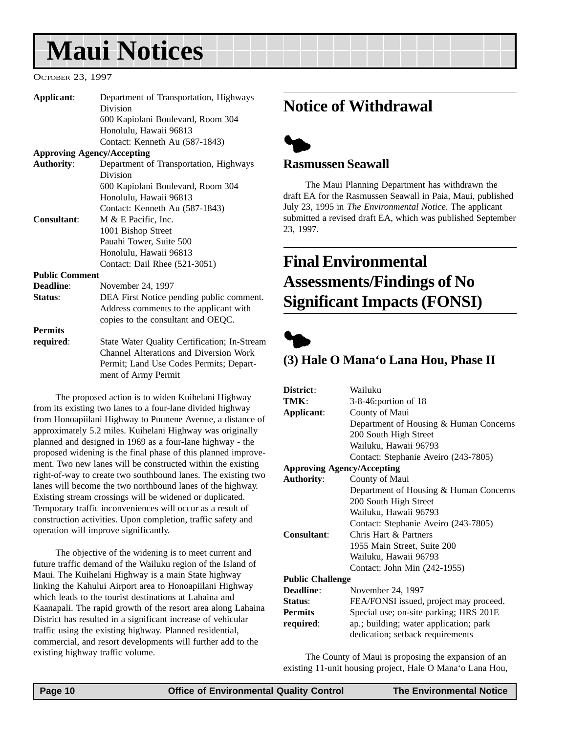# <span id="page-9-0"></span>**Maui Notices**

#### OCTOBER 23, 1997

| Applicant:                        | Department of Transportation, Highways       |
|-----------------------------------|----------------------------------------------|
|                                   | Division                                     |
|                                   | 600 Kapiolani Boulevard, Room 304            |
|                                   | Honolulu, Hawaii 96813                       |
|                                   | Contact: Kenneth Au (587-1843)               |
| <b>Approving Agency/Accepting</b> |                                              |
| <b>Authority:</b>                 | Department of Transportation, Highways       |
|                                   | Division                                     |
|                                   | 600 Kapiolani Boulevard, Room 304            |
|                                   | Honolulu, Hawaii 96813                       |
|                                   | Contact: Kenneth Au (587-1843)               |
| Consultant:                       | M & E Pacific, Inc.                          |
|                                   | 1001 Bishop Street                           |
|                                   | Pauahi Tower, Suite 500                      |
|                                   | Honolulu, Hawaii 96813                       |
|                                   | Contact: Dail Rhee (521-3051)                |
| <b>Public Comment</b>             |                                              |
| Deadline:                         | November 24, 1997                            |
| Status:                           | DEA First Notice pending public comment.     |
|                                   | Address comments to the applicant with       |
|                                   | copies to the consultant and OEQC.           |
| <b>Permits</b>                    |                                              |
| required:                         | State Water Quality Certification; In-Stream |
|                                   | Channel Alterations and Diversion Work       |
|                                   | Permit; Land Use Codes Permits; Depart-      |
|                                   | ment of Army Permit                          |

The proposed action is to widen Kuihelani Highway from its existing two lanes to a four-lane divided highway from Honoapiilani Highway to Puunene Avenue, a distance of approximately 5.2 miles. Kuihelani Highway was originally planned and designed in 1969 as a four-lane highway - the proposed widening is the final phase of this planned improvement. Two new lanes will be constructed within the existing right-of-way to create two southbound lanes. The existing two lanes will become the two northbound lanes of the highway. Existing stream crossings will be widened or duplicated. Temporary traffic inconveniences will occur as a result of construction activities. Upon completion, traffic safety and operation will improve significantly.

The objective of the widening is to meet current and future traffic demand of the Wailuku region of the Island of Maui. The Kuihelani Highway is a main State highway linking the Kahului Airport area to Honoapiilani Highway which leads to the tourist destinations at Lahaina and Kaanapali. The rapid growth of the resort area along Lahaina District has resulted in a significant increase of vehicular traffic using the existing highway. Planned residential, commercial, and resort developments will further add to the existing highway traffic volume.

# **Notice of Withdrawal**



#### **Rasmussen Seawall**

The Maui Planning Department has withdrawn the draft EA for the Rasmussen Seawall in Paia, Maui, published July 23, 1995 in *The Environmental Notice*. The applicant submitted a revised draft EA, which was published September 23, 1997.

# **Final Environmental Assessments/Findings of No Significant Impacts (FONSI)**



#### **(3) Hale O Mana'o Lana Hou, Phase II**

| District:                         | Wailuku                                |  |
|-----------------------------------|----------------------------------------|--|
| TMK:                              | $3-8-46$ : portion of 18               |  |
| Applicant:                        | County of Maui                         |  |
|                                   | Department of Housing & Human Concerns |  |
|                                   | 200 South High Street                  |  |
|                                   | Wailuku, Hawaii 96793                  |  |
|                                   | Contact: Stephanie Aveiro (243-7805)   |  |
| <b>Approving Agency/Accepting</b> |                                        |  |
| <b>Authority:</b>                 | County of Maui                         |  |
|                                   | Department of Housing & Human Concerns |  |
|                                   | 200 South High Street                  |  |
|                                   | Wailuku, Hawaii 96793                  |  |
|                                   | Contact: Stephanie Aveiro (243-7805)   |  |
| <b>Consultant:</b>                | Chris Hart & Partners                  |  |
|                                   | 1955 Main Street, Suite 200            |  |
|                                   | Wailuku, Hawaii 96793                  |  |
|                                   | Contact: John Min (242-1955)           |  |
| <b>Public Challenge</b>           |                                        |  |
| Deadline:                         | November 24, 1997                      |  |
| Status:                           | FEA/FONSI issued, project may proceed. |  |
| <b>Permits</b>                    | Special use; on-site parking; HRS 201E |  |
| required:                         | ap.; building; water application; park |  |
|                                   | dedication; setback requirements       |  |
|                                   |                                        |  |

The County of Maui is proposing the expansion of an existing 11-unit housing project, Hale O Mana'o Lana Hou,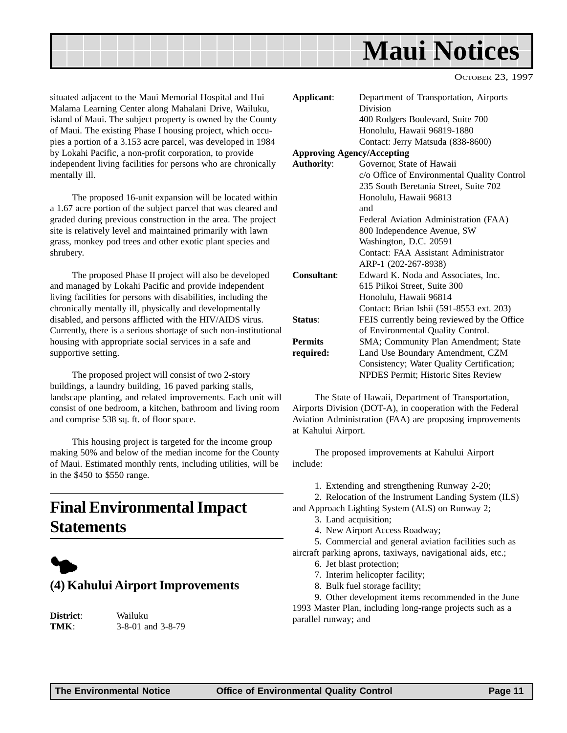<span id="page-10-0"></span>

situated adjacent to the Maui Memorial Hospital and Hui Malama Learning Center along Mahalani Drive, Wailuku, island of Maui. The subject property is owned by the County of Maui. The existing Phase I housing project, which occupies a portion of a 3.153 acre parcel, was developed in 1984 by Lokahi Pacific, a non-profit corporation, to provide independent living facilities for persons who are chronically mentally ill.

The proposed 16-unit expansion will be located within a 1.67 acre portion of the subject parcel that was cleared and graded during previous construction in the area. The project site is relatively level and maintained primarily with lawn grass, monkey pod trees and other exotic plant species and shrubery.

The proposed Phase II project will also be developed and managed by Lokahi Pacific and provide independent living facilities for persons with disabilities, including the chronically mentally ill, physically and developmentally disabled, and persons afflicted with the HIV/AIDS virus. Currently, there is a serious shortage of such non-institutional housing with appropriate social services in a safe and supportive setting.

The proposed project will consist of two 2-story buildings, a laundry building, 16 paved parking stalls, landscape planting, and related improvements. Each unit will consist of one bedroom, a kitchen, bathroom and living room and comprise 538 sq. ft. of floor space.

This housing project is targeted for the income group making 50% and below of the median income for the County of Maui. Estimated monthly rents, including utilities, will be in the \$450 to \$550 range.

# **Final Environmental Impact Statements**



### **(4) Kahului Airport Improvements**

**District**: Wailuku

**TMK**: 3-8-01 and 3-8-79

| Applicant:                        | Department of Transportation, Airports      |
|-----------------------------------|---------------------------------------------|
|                                   | Division                                    |
|                                   | 400 Rodgers Boulevard, Suite 700            |
|                                   | Honolulu, Hawaii 96819-1880                 |
|                                   | Contact: Jerry Matsuda (838-8600)           |
| <b>Approving Agency/Accepting</b> |                                             |
| <b>Authority:</b>                 | Governor, State of Hawaii                   |
|                                   | c/o Office of Environmental Quality Control |
|                                   | 235 South Beretania Street, Suite 702       |
|                                   | Honolulu, Hawaii 96813                      |
|                                   | and                                         |
|                                   | Federal Aviation Administration (FAA)       |
|                                   | 800 Independence Avenue, SW                 |
|                                   | Washington, D.C. 20591                      |
|                                   | Contact: FAA Assistant Administrator        |
|                                   | ARP-1 (202-267-8938)                        |
| <b>Consultant:</b>                | Edward K. Noda and Associates, Inc.         |
|                                   | 615 Piikoi Street, Suite 300                |
|                                   | Honolulu, Hawaii 96814                      |
|                                   | Contact: Brian Ishii (591-8553 ext. 203)    |
| Status:                           | FEIS currently being reviewed by the Office |
|                                   | of Environmental Quality Control.           |
| <b>Permits</b>                    | SMA; Community Plan Amendment; State        |
| required:                         | Land Use Boundary Amendment, CZM            |
|                                   | Consistency; Water Quality Certification;   |
|                                   | <b>NPDES Permit; Historic Sites Review</b>  |

The State of Hawaii, Department of Transportation, Airports Division (DOT-A), in cooperation with the Federal Aviation Administration (FAA) are proposing improvements at Kahului Airport.

The proposed improvements at Kahului Airport include:

1. Extending and strengthening Runway 2-20;

2. Relocation of the Instrument Landing System (ILS)

and Approach Lighting System (ALS) on Runway 2;

- 3. Land acquisition;
- 4. New Airport Access Roadway;

5. Commercial and general aviation facilities such as aircraft parking aprons, taxiways, navigational aids, etc.;

- 6. Jet blast protection;
- 7. Interim helicopter facility;
- 8. Bulk fuel storage facility;

9. Other development items recommended in the June 1993 Master Plan, including long-range projects such as a parallel runway; and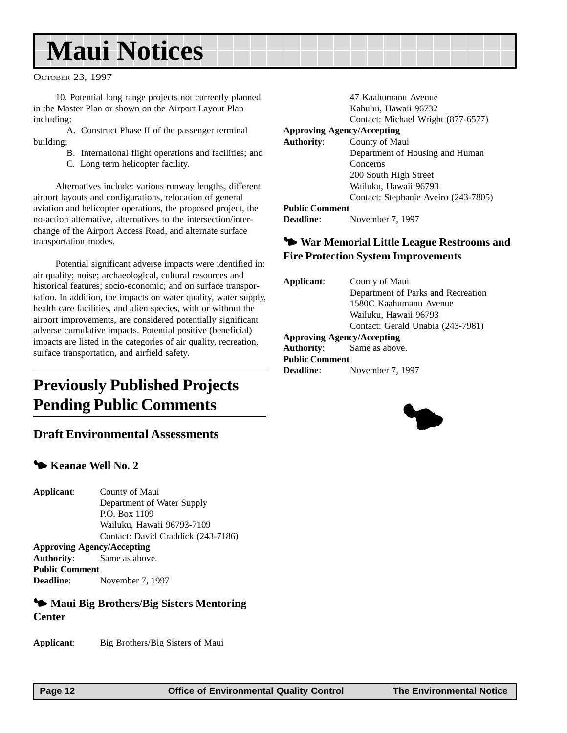# <span id="page-11-0"></span>**Maui Notices**

OCTOBER 23, 1997

10. Potential long range projects not currently planned in the Master Plan or shown on the Airport Layout Plan including:

A. Construct Phase II of the passenger terminal building;

B. International flight operations and facilities; and

C. Long term helicopter facility.

Alternatives include: various runway lengths, different airport layouts and configurations, relocation of general aviation and helicopter operations, the proposed project, the no-action alternative, alternatives to the intersection/interchange of the Airport Access Road, and alternate surface transportation modes.

Potential significant adverse impacts were identified in: air quality; noise; archaeological, cultural resources and historical features; socio-economic; and on surface transportation. In addition, the impacts on water quality, water supply, health care facilities, and alien species, with or without the airport improvements, are considered potentially significant adverse cumulative impacts. Potential positive (beneficial) impacts are listed in the categories of air quality, recreation, surface transportation, and airfield safety.

# **Previously Published Projects Pending Public Comments**

## **Draft Environmental Assessments**

#### $\blacktriangleright$  **Keanae Well No. 2**

**Applicant**: County of Maui Department of Water Supply P.O. Box 1109 Wailuku, Hawaii 96793-7109 Contact: David Craddick (243-7186) **Approving Agency/Accepting**

**Authority**: Same as above. **Public Comment Deadline**: November 7, 1997

#### **<sup>5</sup> Maui Big Brothers/Big Sisters Mentoring Center**

**Applicant**: Big Brothers/Big Sisters of Maui

|                                   | 47 Kaahumanu Avenue                  |
|-----------------------------------|--------------------------------------|
|                                   | Kahului, Hawaii 96732                |
|                                   | Contact: Michael Wright (877-6577)   |
| <b>Approving Agency/Accepting</b> |                                      |
| <b>Authority:</b>                 | County of Maui                       |
|                                   | Department of Housing and Human      |
|                                   | Concerns                             |
|                                   | 200 South High Street                |
|                                   | Wailuku, Hawaii 96793                |
|                                   | Contact: Stephanie Aveiro (243-7805) |
| <b>Public Comment</b>             |                                      |
| Deadline:                         | November 7, 1997                     |

#### 3 **War Memorial Little League Restrooms and Fire Protection System Improvements**

| Applicant:            | County of Maui                     |
|-----------------------|------------------------------------|
|                       | Department of Parks and Recreation |
|                       | 1580C Kaahumanu Avenue             |
|                       | Wailuku, Hawaii 96793              |
|                       | Contact: Gerald Unabia (243-7981)  |
|                       | <b>Approving Agency/Accepting</b>  |
|                       | <b>Authority:</b> Same as above.   |
| <b>Public Comment</b> |                                    |
| <b>Deadline</b> :     | November 7, 1997                   |
|                       |                                    |

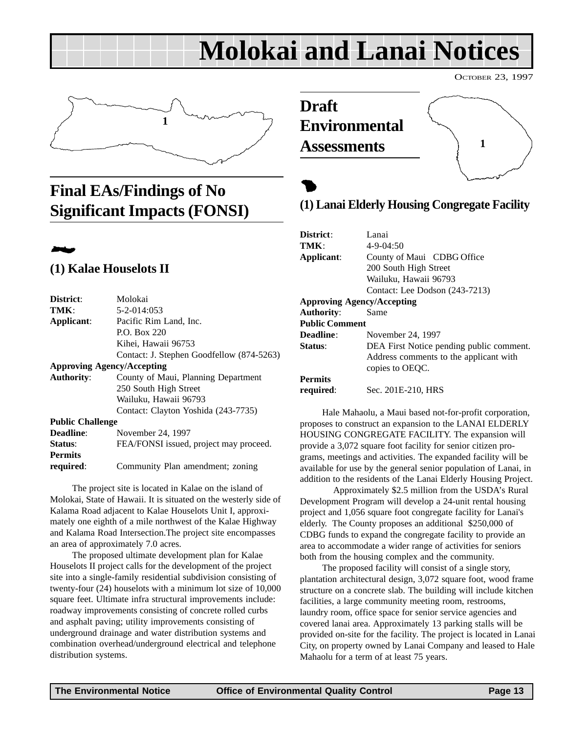# **Molokai and Lanai Notices**

<span id="page-12-0"></span>

# **Final EAs/Findings of No Significant Impacts (FONSI)**



### **(1) Kalae Houselots II**

| District:               | Molokai                                   |  |  |  |
|-------------------------|-------------------------------------------|--|--|--|
| TMK:                    | 5-2-014:053                               |  |  |  |
| Applicant:              | Pacific Rim Land, Inc.                    |  |  |  |
|                         | P.O. Box 220                              |  |  |  |
|                         | Kihei, Hawaii 96753                       |  |  |  |
|                         | Contact: J. Stephen Goodfellow (874-5263) |  |  |  |
|                         | <b>Approving Agency/Accepting</b>         |  |  |  |
| <b>Authority:</b>       | County of Maui, Planning Department       |  |  |  |
|                         | 250 South High Street                     |  |  |  |
|                         | Wailuku, Hawaii 96793                     |  |  |  |
|                         | Contact: Clayton Yoshida (243-7735)       |  |  |  |
| <b>Public Challenge</b> |                                           |  |  |  |
| Deadline:               | November 24, 1997                         |  |  |  |
| Status:                 | FEA/FONSI issued, project may proceed.    |  |  |  |
| <b>Permits</b>          |                                           |  |  |  |
| required:               | Community Plan amendment; zoning          |  |  |  |
|                         |                                           |  |  |  |

The project site is located in Kalae on the island of Molokai, State of Hawaii. It is situated on the westerly side of Kalama Road adjacent to Kalae Houselots Unit I, approximately one eighth of a mile northwest of the Kalae Highway and Kalama Road Intersection.The project site encompasses an area of approximately 7.0 acres.

The proposed ultimate development plan for Kalae Houselots II project calls for the development of the project site into a single-family residential subdivision consisting of twenty-four (24) houselots with a minimum lot size of 10,000 square feet. Ultimate infra structural improvements include: roadway improvements consisting of concrete rolled curbs and asphalt paving; utility improvements consisting of underground drainage and water distribution systems and combination overhead/underground electrical and telephone distribution systems.

**Draft Environmental Assessments**

# $\bullet$ **(1) Lanai Elderly Housing Congregate Facility**

OCTOBER 23, 1997

**1**

| District:                         | Lanai                                    |  |  |  |
|-----------------------------------|------------------------------------------|--|--|--|
| TMK:                              | $4 - 9 - 04:50$                          |  |  |  |
| Applicant:                        | County of Maui CDBG Office               |  |  |  |
|                                   | 200 South High Street                    |  |  |  |
|                                   | Wailuku, Hawaii 96793                    |  |  |  |
|                                   | Contact: Lee Dodson (243-7213)           |  |  |  |
| <b>Approving Agency/Accepting</b> |                                          |  |  |  |
| Authority:                        | Same                                     |  |  |  |
| <b>Public Comment</b>             |                                          |  |  |  |
| Deadline:                         | November 24, 1997                        |  |  |  |
| Status:                           | DEA First Notice pending public comment. |  |  |  |
|                                   | Address comments to the applicant with   |  |  |  |
|                                   | copies to OEOC.                          |  |  |  |
| <b>Permits</b>                    |                                          |  |  |  |
| required:                         | Sec. 201E-210, HRS                       |  |  |  |

Hale Mahaolu, a Maui based not-for-profit corporation, proposes to construct an expansion to the LANAI ELDERLY HOUSING CONGREGATE FACILITY. The expansion will provide a 3,072 square foot facility for senior citizen programs, meetings and activities. The expanded facility will be available for use by the general senior population of Lanai, in addition to the residents of the Lanai Elderly Housing Project.

Approximately \$2.5 million from the USDA's Rural Development Program will develop a 24-unit rental housing project and 1,056 square foot congregate facility for Lanai's elderly. The County proposes an additional \$250,000 of CDBG funds to expand the congregate facility to provide an area to accommodate a wider range of activities for seniors both from the housing complex and the community.

The proposed facility will consist of a single story, plantation architectural design, 3,072 square foot, wood frame structure on a concrete slab. The building will include kitchen facilities, a large community meeting room, restrooms, laundry room, office space for senior service agencies and covered lanai area. Approximately 13 parking stalls will be provided on-site for the facility. The project is located in Lanai City, on property owned by Lanai Company and leased to Hale Mahaolu for a term of at least 75 years.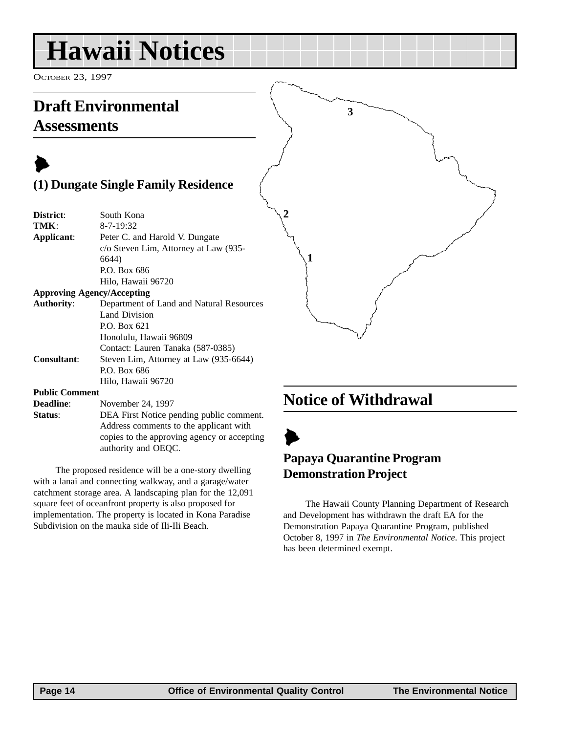# <span id="page-13-0"></span>**Hawaii Notices**

OCTOBER 23, 1997

# **Draft Environmental Assessments**

# $\blacktriangleright$ **(1) Dungate Single Family Residence**

| District:  | South Kona                            |
|------------|---------------------------------------|
| TMK:       | $8 - 7 - 19:32$                       |
| Applicant: | Peter C. and Harold V. Dungate        |
|            | c/o Steven Lim, Attorney at Law (935- |
|            | 6644)                                 |
|            | P.O. Box 686                          |
|            | Hilo, Hawaii 96720                    |
|            |                                       |

#### **Approving Agency/Accepting**

| <b>Authority:</b>                                | Department of Land and Natural Resources |
|--------------------------------------------------|------------------------------------------|
|                                                  | Land Division                            |
|                                                  | P.O. Box 621                             |
|                                                  | Honolulu, Hawaii 96809                   |
|                                                  | Contact: Lauren Tanaka (587-0385)        |
| <b>Consultant:</b>                               | Steven Lim, Attorney at Law (935-6644)   |
|                                                  | P.O. Box 686                             |
|                                                  | Hilo, Hawaii 96720                       |
| $\mathbf{D}$ . LEA $\mathbf{C}$ and $\mathbf{C}$ |                                          |

#### **Public Comment**

**Deadline**: November 24, 1997 **Status:** DEA First Notice pending public comment. Address comments to the applicant with copies to the approving agency or accepting authority and OEQC.

The proposed residence will be a one-story dwelling with a lanai and connecting walkway, and a garage/water catchment storage area. A landscaping plan for the 12,091 square feet of oceanfront property is also proposed for implementation. The property is located in Kona Paradise Subdivision on the mauka side of Ili-Ili Beach.

# **Notice of Withdrawal**

**3**



**1**

**2**

## **Papaya Quarantine Program Demonstration Project**

The Hawaii County Planning Department of Research and Development has withdrawn the draft EA for the Demonstration Papaya Quarantine Program, published October 8, 1997 in *The Environmental Notice*. This project has been determined exempt.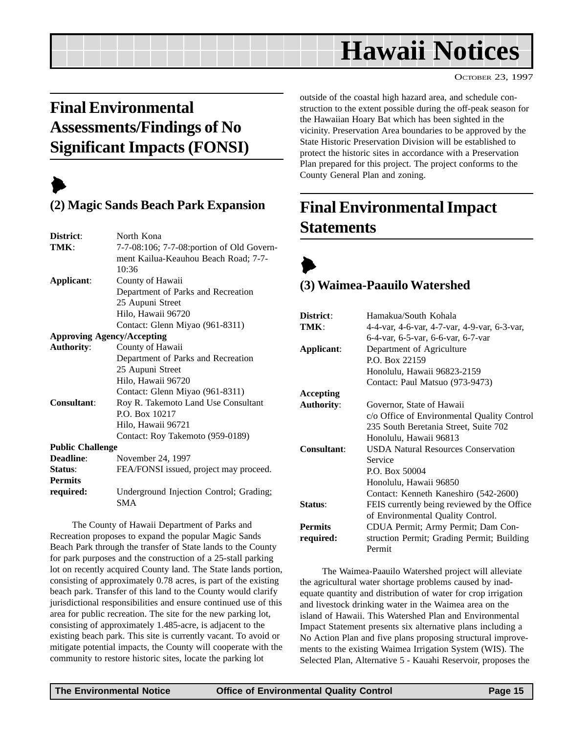# **Hawaii Notices**

OCTOBER 23, 1997

# <span id="page-14-0"></span>**Final Environmental Assessments/Findings of No Significant Impacts (FONSI)**

# $\blacktriangleright$

## **(2) Magic Sands Beach Park Expansion**

| District:                         | North Kona                                |  |  |  |
|-----------------------------------|-------------------------------------------|--|--|--|
| TMK:                              | 7-7-08:106; 7-7-08:portion of Old Govern- |  |  |  |
|                                   | ment Kailua-Keauhou Beach Road; 7-7-      |  |  |  |
|                                   | 10:36                                     |  |  |  |
| Applicant:                        | County of Hawaii                          |  |  |  |
|                                   | Department of Parks and Recreation        |  |  |  |
|                                   | 25 Aupuni Street                          |  |  |  |
|                                   | Hilo, Hawaii 96720                        |  |  |  |
|                                   | Contact: Glenn Miyao (961-8311)           |  |  |  |
| <b>Approving Agency/Accepting</b> |                                           |  |  |  |
| <b>Authority:</b>                 | County of Hawaii                          |  |  |  |
|                                   | Department of Parks and Recreation        |  |  |  |
|                                   | 25 Aupuni Street                          |  |  |  |
|                                   | Hilo, Hawaii 96720                        |  |  |  |
|                                   | Contact: Glenn Miyao (961-8311)           |  |  |  |
| Consultant:                       | Roy R. Takemoto Land Use Consultant       |  |  |  |
|                                   | P.O. Box 10217                            |  |  |  |
|                                   | Hilo, Hawaii 96721                        |  |  |  |
|                                   | Contact: Roy Takemoto (959-0189)          |  |  |  |
| <b>Public Challenge</b>           |                                           |  |  |  |
| Deadline:                         | November 24, 1997                         |  |  |  |
| Status:                           | FEA/FONSI issued, project may proceed.    |  |  |  |
| <b>Permits</b>                    |                                           |  |  |  |
| required:                         | Underground Injection Control; Grading;   |  |  |  |
|                                   | <b>SMA</b>                                |  |  |  |

The County of Hawaii Department of Parks and Recreation proposes to expand the popular Magic Sands Beach Park through the transfer of State lands to the County for park purposes and the construction of a 25-stall parking lot on recently acquired County land. The State lands portion, consisting of approximately 0.78 acres, is part of the existing beach park. Transfer of this land to the County would clarify jurisdictional responsibilities and ensure continued use of this area for public recreation. The site for the new parking lot, consisting of approximately 1.485-acre, is adjacent to the existing beach park. This site is currently vacant. To avoid or mitigate potential impacts, the County will cooperate with the community to restore historic sites, locate the parking lot

outside of the coastal high hazard area, and schedule construction to the extent possible during the off-peak season for the Hawaiian Hoary Bat which has been sighted in the vicinity. Preservation Area boundaries to be approved by the State Historic Preservation Division will be established to protect the historic sites in accordance with a Preservation Plan prepared for this project. The project conforms to the County General Plan and zoning.

# **Final Environmental Impact Statements**



## **(3) Waimea-Paauilo Watershed**

| Hamakua/South Kohala                         |  |  |
|----------------------------------------------|--|--|
| 4-4-var, 4-6-var, 4-7-var, 4-9-var, 6-3-var, |  |  |
| 6-4-var, 6-5-var, 6-6-var, 6-7-var           |  |  |
| Department of Agriculture                    |  |  |
| P.O. Box 22159                               |  |  |
| Honolulu, Hawaii 96823-2159                  |  |  |
| Contact: Paul Matsuo (973-9473)              |  |  |
|                                              |  |  |
| Governor, State of Hawaii                    |  |  |
| c/o Office of Environmental Quality Control  |  |  |
| 235 South Beretania Street, Suite 702        |  |  |
| Honolulu, Hawaii 96813                       |  |  |
| <b>USDA Natural Resources Conservation</b>   |  |  |
| Service                                      |  |  |
| P.O. Box 50004                               |  |  |
| Honolulu, Hawaii 96850                       |  |  |
| Contact: Kenneth Kaneshiro (542-2600)        |  |  |
| FEIS currently being reviewed by the Office  |  |  |
| of Environmental Quality Control.            |  |  |
| CDUA Permit; Army Permit; Dam Con-           |  |  |
| struction Permit; Grading Permit; Building   |  |  |
| Permit                                       |  |  |
|                                              |  |  |

The Waimea-Paauilo Watershed project will alleviate the agricultural water shortage problems caused by inadequate quantity and distribution of water for crop irrigation and livestock drinking water in the Waimea area on the island of Hawaii. This Watershed Plan and Environmental Impact Statement presents six alternative plans including a No Action Plan and five plans proposing structural improvements to the existing Waimea Irrigation System (WIS). The Selected Plan, Alternative 5 - Kauahi Reservoir, proposes the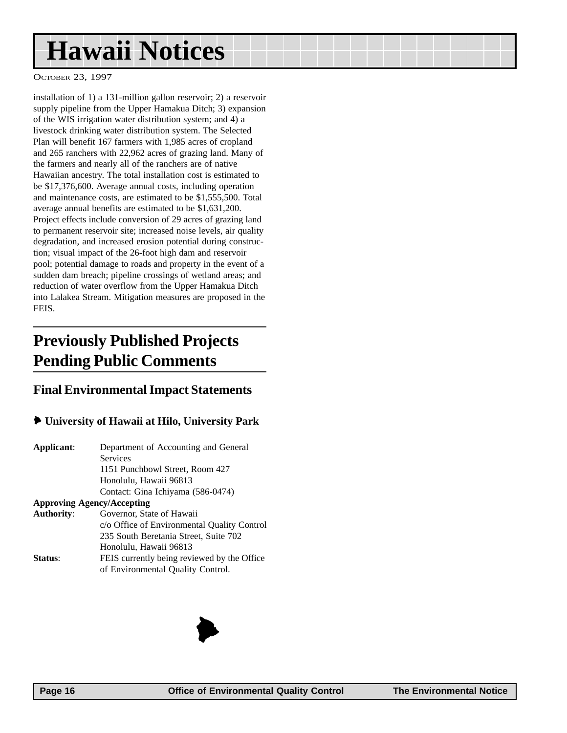# <span id="page-15-0"></span>**Hawaii Notices**

OCTOBER 23, 1997

installation of 1) a 131-million gallon reservoir; 2) a reservoir supply pipeline from the Upper Hamakua Ditch; 3) expansion of the WIS irrigation water distribution system; and 4) a livestock drinking water distribution system. The Selected Plan will benefit 167 farmers with 1,985 acres of cropland and 265 ranchers with 22,962 acres of grazing land. Many of the farmers and nearly all of the ranchers are of native Hawaiian ancestry. The total installation cost is estimated to be \$17,376,600. Average annual costs, including operation and maintenance costs, are estimated to be \$1,555,500. Total average annual benefits are estimated to be \$1,631,200. Project effects include conversion of 29 acres of grazing land to permanent reservoir site; increased noise levels, air quality degradation, and increased erosion potential during construction; visual impact of the 26-foot high dam and reservoir pool; potential damage to roads and property in the event of a sudden dam breach; pipeline crossings of wetland areas; and reduction of water overflow from the Upper Hamakua Ditch into Lalakea Stream. Mitigation measures are proposed in the FEIS.

# **Previously Published Projects Pending Public Comments**

#### **Final Environmental Impact Statements**

#### 6 **University of Hawaii at Hilo, University Park**

| Applicant:                        | Department of Accounting and General        |  |  |
|-----------------------------------|---------------------------------------------|--|--|
|                                   | <b>Services</b>                             |  |  |
|                                   | 1151 Punchbowl Street, Room 427             |  |  |
|                                   | Honolulu, Hawaii 96813                      |  |  |
|                                   | Contact: Gina Ichiyama (586-0474)           |  |  |
| <b>Approving Agency/Accepting</b> |                                             |  |  |
| <b>Authority:</b>                 | Governor, State of Hawaii                   |  |  |
|                                   | c/o Office of Environmental Quality Control |  |  |
|                                   | 235 South Beretania Street, Suite 702       |  |  |
|                                   | Honolulu, Hawaii 96813                      |  |  |
| Status:                           | FEIS currently being reviewed by the Office |  |  |
|                                   | of Environmental Quality Control.           |  |  |

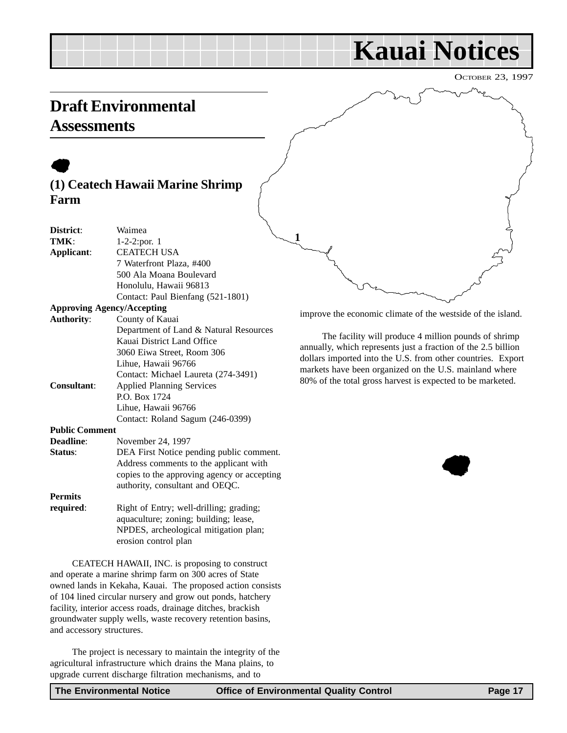# **Kauai Notices**

OCTOBER 23, 1997

# <span id="page-16-0"></span>**Draft Environmental Assessments**

# $\bullet$ **(1) Ceatech Hawaii Marine Shrimp Farm**

| District:             | Waimea                                                                         |  |  |
|-----------------------|--------------------------------------------------------------------------------|--|--|
| TMK:                  | 1-2-2:por. 1                                                                   |  |  |
| Applicant:            | <b>CEATECH USA</b>                                                             |  |  |
|                       | 7 Waterfront Plaza, #400                                                       |  |  |
|                       | 500 Ala Moana Boulevard                                                        |  |  |
|                       | Honolulu, Hawaii 96813                                                         |  |  |
|                       | Contact: Paul Bienfang (521-1801)                                              |  |  |
|                       | <b>Approving Agency/Accepting</b>                                              |  |  |
| <b>Authority:</b>     | County of Kauai                                                                |  |  |
|                       | Department of Land & Natural Resources                                         |  |  |
|                       | Kauai District Land Office                                                     |  |  |
|                       | 3060 Eiwa Street, Room 306                                                     |  |  |
|                       | Lihue, Hawaii 96766                                                            |  |  |
|                       | Contact: Michael Laureta (274-3491)                                            |  |  |
| <b>Consultant:</b>    | <b>Applied Planning Services</b>                                               |  |  |
|                       | P.O. Box 1724                                                                  |  |  |
|                       | Lihue, Hawaii 96766                                                            |  |  |
|                       | Contact: Roland Sagum (246-0399)                                               |  |  |
| <b>Public Comment</b> |                                                                                |  |  |
| Deadline:             | November 24, 1997                                                              |  |  |
| Status:               | DEA First Notice pending public comment.                                       |  |  |
|                       | Address comments to the applicant with                                         |  |  |
|                       | copies to the approving agency or accepting                                    |  |  |
|                       | authority, consultant and OEQC.                                                |  |  |
| <b>Permits</b>        |                                                                                |  |  |
| required:             | Right of Entry; well-drilling; grading;<br>agusaultuga zaningu huildingu loosa |  |  |

aquaculture; zoning; building; lease, NPDES, archeological mitigation plan; erosion control plan

CEATECH HAWAII, INC. is proposing to construct and operate a marine shrimp farm on 300 acres of State owned lands in Kekaha, Kauai. The proposed action consists of 104 lined circular nursery and grow out ponds, hatchery facility, interior access roads, drainage ditches, brackish groundwater supply wells, waste recovery retention basins, and accessory structures.

The project is necessary to maintain the integrity of the agricultural infrastructure which drains the Mana plains, to upgrade current discharge filtration mechanisms, and to

improve the economic climate of the westside of the island.

The facility will produce 4 million pounds of shrimp annually, which represents just a fraction of the 2.5 billion dollars imported into the U.S. from other countries. Export markets have been organized on the U.S. mainland where 80% of the total gross harvest is expected to be marketed.



**1**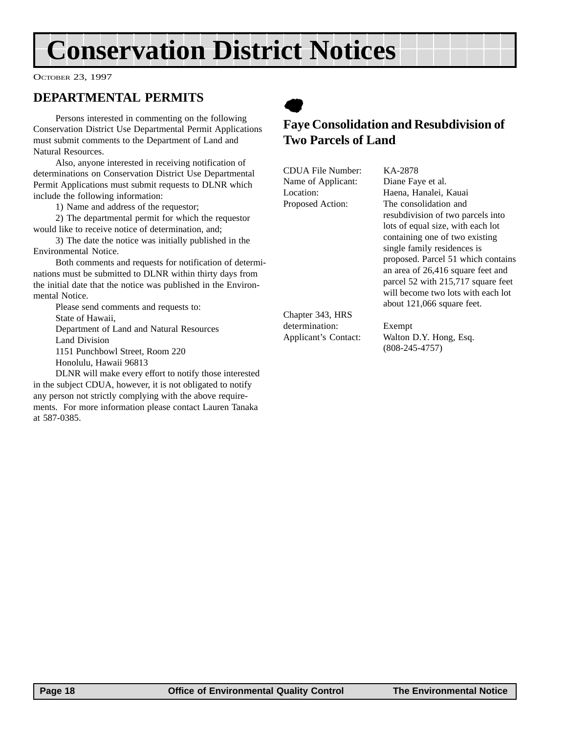# <span id="page-17-0"></span>**Conservation District Notices**

OCTOBER 23, 1997

### **DEPARTMENTAL PERMITS**

Persons interested in commenting on the following Conservation District Use Departmental Permit Applications must submit comments to the Department of Land and Natural Resources.

Also, anyone interested in receiving notification of determinations on Conservation District Use Departmental Permit Applications must submit requests to DLNR which include the following information:

1) Name and address of the requestor;

2) The departmental permit for which the requestor would like to receive notice of determination, and;

3) The date the notice was initially published in the Environmental Notice.

Both comments and requests for notification of determinations must be submitted to DLNR within thirty days from the initial date that the notice was published in the Environmental Notice.

Please send comments and requests to: State of Hawaii, Department of Land and Natural Resources Land Division 1151 Punchbowl Street, Room 220

Honolulu, Hawaii 96813

DLNR will make every effort to notify those interested in the subject CDUA, however, it is not obligated to notify any person not strictly complying with the above requirements. For more information please contact Lauren Tanaka at 587-0385.

 $\bullet$ 

### **Faye Consolidation and Resubdivision of Two Parcels of Land**

CDUA File Number: KA-2878 Name of Applicant: Diane Faye et al.

Location: Haena, Hanalei, Kauai Proposed Action: The consolidation and resubdivision of two parcels into lots of equal size, with each lot containing one of two existing single family residences is proposed. Parcel 51 which contains an area of 26,416 square feet and parcel 52 with 215,717 square feet will become two lots with each lot about 121,066 square feet.

Chapter 343, HRS determination: Exempt

Applicant's Contact: Walton D.Y. Hong, Esq. (808-245-4757)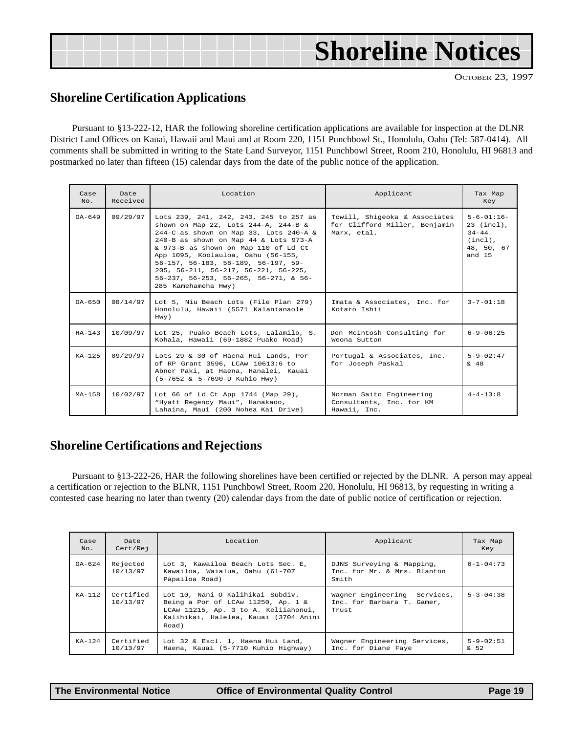<span id="page-18-0"></span>

| <b>Shoreline Notices</b> |
|--------------------------|
|--------------------------|

#### **Shoreline Certification Applications**

Pursuant to §13-222-12, HAR the following shoreline certification applications are available for inspection at the DLNR District Land Offices on Kauai, Hawaii and Maui and at Room 220, 1151 Punchbowl St., Honolulu, Oahu (Tel: 587-0414). All comments shall be submitted in writing to the State Land Surveyor, 1151 Punchbowl Street, Room 210, Honolulu, HI 96813 and postmarked no later than fifteen (15) calendar days from the date of the public notice of the application.

| Case<br>No. | Date<br>Received                                                                                                                                                                                                                                                                                                                                                                                                                                      | Location<br>Applicant                                                                                                                              |                                                                      | Tax Map<br>Key                                                                         |
|-------------|-------------------------------------------------------------------------------------------------------------------------------------------------------------------------------------------------------------------------------------------------------------------------------------------------------------------------------------------------------------------------------------------------------------------------------------------------------|----------------------------------------------------------------------------------------------------------------------------------------------------|----------------------------------------------------------------------|----------------------------------------------------------------------------------------|
| $0A-649$    | 09/29/97<br>Lots 239, 241, 242, 243, 245 to 257 as<br>shown on Map 22, Lots 244-A, 244-B &<br>244-C as shown on Map 33, Lots 240-A &<br>Marx, etal.<br>240-B as shown on Map 44 & Lots 973-A<br>& 973-B as shown on Map 110 of Ld Ct<br>App 1095, Koolauloa, Oahu (56-155,<br>$56-157$ , $56-183$ , $56-189$ , $56-197$ , $59-$<br>205, 56-211, 56-217, 56-221, 56-225,<br>$56-237$ , $56-253$ , $56-265$ , $56-271$ , & $56-$<br>285 Kamehameha Hwy) |                                                                                                                                                    | Towill, Shigeoka & Associates<br>for Clifford Miller, Benjamin       | $5 - 6 - 01:16 -$<br>$23$ (incl),<br>$34 - 44$<br>$(incl)$ ,<br>48, 50, 67<br>and $15$ |
| $0A-650$    | 08/14/97                                                                                                                                                                                                                                                                                                                                                                                                                                              | Lot 5, Niu Beach Lots (File Plan 279)<br>Honolulu, Hawaii (5571 Kalanianaole<br>Hwy)                                                               | Imata & Associates, Inc. for<br>Kotaro Ishii                         | $3 - 7 - 01 : 18$                                                                      |
| $HA-143$    | 10/09/97                                                                                                                                                                                                                                                                                                                                                                                                                                              | Lot 25, Puako Beach Lots, Lalamilo, S.<br>Kohala, Hawaii (69-1882 Puako Road)                                                                      | Don McIntosh Consulting for<br>Weona Sutton                          | $6 - 9 - 06:25$                                                                        |
| $KA-125$    | 09/29/97                                                                                                                                                                                                                                                                                                                                                                                                                                              | Lots 29 & 30 of Haena Hui Lands, Por<br>of RP Grant 3596, LCAw 10613:6 to<br>Abner Paki, at Haena, Hanalei, Kauai<br>(5-7652 & 5-7690-D Kuhio Hwy) | Portugal & Associates, Inc.<br>for Joseph Paskal                     | $5 - 9 - 02:47$<br>$\frac{6}{9}$ 48                                                    |
| $MA-158$    | 10/02/97                                                                                                                                                                                                                                                                                                                                                                                                                                              | Lot 66 of Ld Ct App 1744 (Map 29),<br>"Hyatt Regency Maui", Hanakaoo,<br>Lahaina, Maui (200 Nohea Kai Drive)                                       | Norman Saito Engineering<br>Consultants, Inc. for KM<br>Hawaii, Inc. | $4 - 4 - 13:8$                                                                         |

### **Shoreline Certifications and Rejections**

Pursuant to §13-222-26, HAR the following shorelines have been certified or rejected by the DLNR. A person may appeal a certification or rejection to the BLNR, 1151 Punchbowl Street, Room 220, Honolulu, HI 96813, by requesting in writing a contested case hearing no later than twenty (20) calendar days from the date of public notice of certification or rejection.

| Case<br>No. | Date<br>Cert/Rej      | Location                                                                                                                                                         | Applicant                                                           | Tax Map<br>Key                    |
|-------------|-----------------------|------------------------------------------------------------------------------------------------------------------------------------------------------------------|---------------------------------------------------------------------|-----------------------------------|
| $OA - 624$  | Rejected<br>10/13/97  | Lot 3, Kawailoa Beach Lots Sec. E,<br>Kawailoa, Waialua, Oahu (61-707<br>Papailoa Road)                                                                          | DJNS Surveying & Mapping,<br>Inc. for Mr. & Mrs. Blanton<br>Smith   | $6 - 1 - 04:73$                   |
| $KA-112$    | Certified<br>10/13/97 | Lot 10, Nani O Kalihikai Subdiv.<br>Being a Por of LCAw 11250, Ap. 1 &<br>LCAw 11215, Ap. 3 to A. Keliiahonui,<br>Kalihikai, Halelea, Kauai (3704 Anini<br>Road) | Wagner Engineering Services,<br>Inc. for Barbara T. Gamer.<br>Trust | $5 - 3 - 04:38$                   |
| $KA-124$    | Certified<br>10/13/97 | Lot 32 & Excl. 1, Haena Hui Land,<br>Haena, Kauai (5-7710 Kuhio Highway)                                                                                         | Wagner Engineering Services,<br>Inc. for Diane Faye                 | $5 - 9 - 02:51$<br>$\frac{6}{52}$ |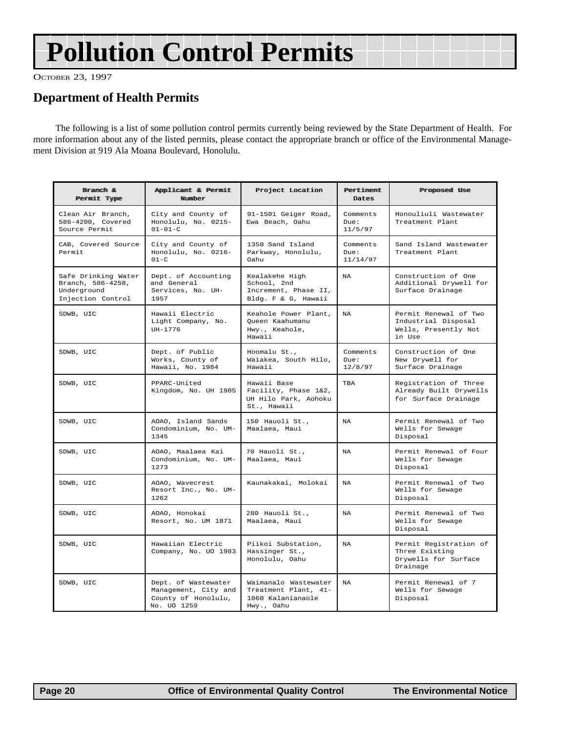# <span id="page-19-0"></span>**Pollution Control Permits**

OCTOBER 23, 1997

## **Department of Health Permits**

The following is a list of some pollution control permits currently being reviewed by the State Department of Health. For more information about any of the listed permits, please contact the appropriate branch or office of the Environmental Management Division at 919 Ala Moana Boulevard, Honolulu.

| Branch &<br>Permit Type                                                      | Applicant & Permit<br>Number                                                      | Project Location                                                                | Pertiment<br>Dates           | Proposed Use                                                                   |
|------------------------------------------------------------------------------|-----------------------------------------------------------------------------------|---------------------------------------------------------------------------------|------------------------------|--------------------------------------------------------------------------------|
| Clean Air Branch,<br>586-4200, Covered<br>Source Permit                      | City and County of<br>Honolulu, No. 0215-<br>$01 - 01 - C$                        | 91-1501 Geiger Road,<br>Ewa Beach, Oahu                                         | Comments<br>Due:<br>11/5/97  | Honouliuli Wastewater<br>Treatment Plant                                       |
| CAB, Covered Source<br>Permit                                                | City and County of<br>Honolulu, No. 0216-<br>$01-C$                               | 1350 Sand Island<br>Parkway, Honolulu,<br>Oahu                                  | Comments<br>Due:<br>11/14/97 | Sand Island Wastewater<br>Treatment Plant                                      |
| Safe Drinking Water<br>Branch, 586-4258,<br>Underground<br>Injection Control | Dept. of Accounting<br>and General<br>Services, No. UH-<br>1957                   | Kealakehe High<br>School, 2nd<br>Increment, Phase II,<br>Bldg. F & G, Hawaii    | NA                           | Construction of One<br>Additional Drywell for<br>Surface Drainage              |
| SDWB, UIC                                                                    | Hawaii Electric<br>Light Company, No.<br>UH-1776                                  | Keahole Power Plant,<br>Queen Kaahumanu<br>Hwy., Keahole,<br>Hawaii             | <b>NA</b>                    | Permit Renewal of Two<br>Industrial Disposal<br>Wells, Presently Not<br>in Use |
| SDWB, UIC                                                                    | Dept. of Public<br>Works, County of<br>Hawaii, No. 1984                           | Hoomalu St.,<br>Waiakea, South Hilo,<br>Hawaii                                  | Comments<br>Due:<br>12/8/97  | Construction of One<br>New Drywell for<br>Surface Drainage                     |
| SDWB, UIC                                                                    | PPARC-United<br>Kingdom, No. UH 1985                                              | Hawaii Base<br>Facility, Phase 1&2,<br>UH Hilo Park, Aohoku<br>St., Hawaii      | TBA                          | Registration of Three<br>Already Built Drywells<br>for Surface Drainage        |
| SDWB, UIC                                                                    | AOAO, Island Sands<br>Condominium, No. UM-<br>1345                                | 150 Hauoli St.,<br>Maalaea, Maui                                                | <b>NA</b>                    | Permit Renewal of Two<br>Wells for Sewage<br>Disposal                          |
| SDWB, UIC                                                                    | AOAO, Maalaea Kai<br>Condominium, No. UM-<br>1273                                 | 70 Hauoli St.,<br>Maalaea, Maui                                                 | NA                           | Permit Renewal of Four<br>Wells for Sewage<br>Disposal                         |
| SDWB, UIC                                                                    | AOAO, Wavecrest<br>Resort Inc., No. UM-<br>1262                                   | Kaunakakai, Molokai                                                             | NA                           | Permit Renewal of Two<br>Wells for Sewage<br>Disposal                          |
| SDWB, UIC                                                                    | AOAO, Honokai<br>Resort, No. UM 1871                                              | 280 Hauoli St.,<br>Maalaea, Maui                                                | <b>NA</b>                    | Permit Renewal of Two<br>Wells for Sewage<br>Disposal                          |
| SDWB, UIC                                                                    | Hawaiian Electric<br>Company, No. UO 1983                                         | Piikoi Substation,<br>Hassinger St.,<br>Honolulu, Oahu                          | <b>NA</b>                    | Permit Registration of<br>Three Existing<br>Drywells for Surface<br>Drainage   |
| SDWB, UIC                                                                    | Dept. of Wastewater<br>Management, City and<br>County of Honolulu,<br>No. UO 1259 | Waimanalo Wastewater<br>Treatment Plant, 41-<br>1060 Kalanianaole<br>Hwy., Oahu | <b>NA</b>                    | Permit Renewal of 7<br>Wells for Sewage<br>Disposal                            |